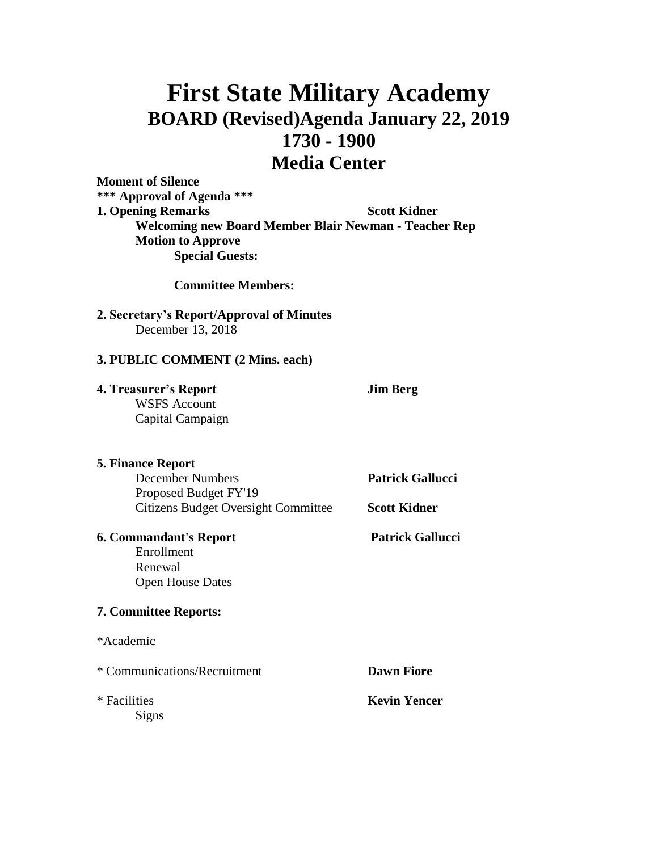# **First State Military Academy BOARD (Revised)Agenda January 22, 2019 1730 - 1900 Media Center**

**Moment of Silence \*\*\* Approval of Agenda \*\*\* 1. Opening Remarks Scott Kidner Welcoming new Board Member Blair Newman - Teacher Rep Motion to Approve Special Guests:**

**Committee Members:**

## **2. Secretary's Report/Approval of Minutes** December 13, 2018

#### **3. PUBLIC COMMENT (2 Mins. each)**

**4. Treasurer's Report Jim Berg** WSFS Account

Capital Campaign

#### **5. Finance Report**

December Numbers **Patrick Gallucci** Proposed Budget FY'19 Citizens Budget Oversight Committee **Scott Kidner**

## **6. Commandant's Report Patrick Gallucci**

Enrollment Renewal Open House Dates

## **7. Committee Reports:**

\*Academic

| * Communications/Recruitment | <b>Dawn Fiore</b>   |
|------------------------------|---------------------|
| * Facilities                 | <b>Kevin Yencer</b> |
| Signs                        |                     |